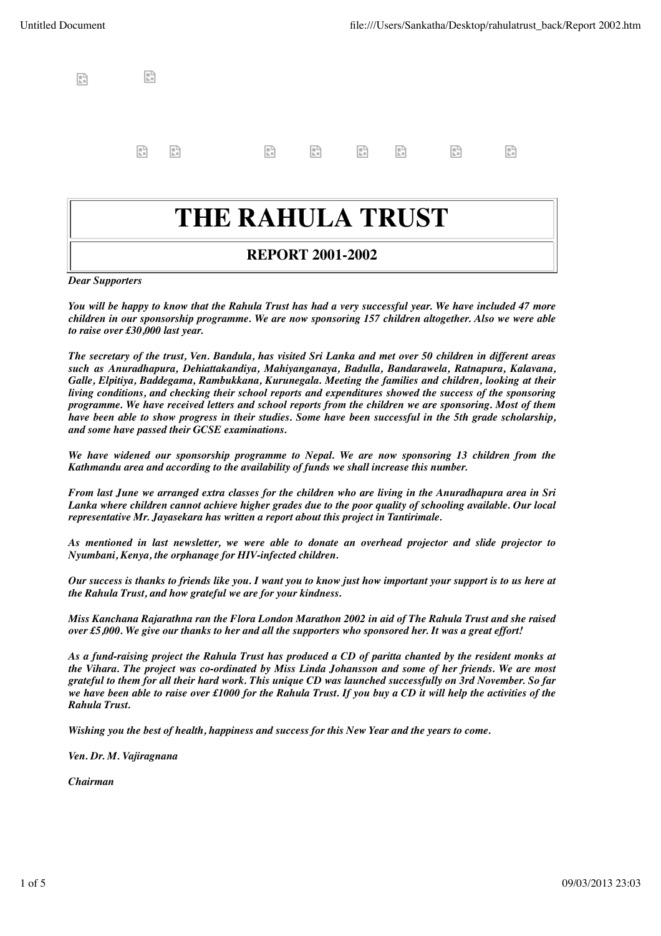| $\begin{array}{ll} \begin{array}{ll} \text{\textcircled{1}} \\ \text{\textcircled{1}}_h \equiv \end{array} \\ \text{\textcircled{1}}_h \equiv \end{array}$ |  |  |  |  |
|------------------------------------------------------------------------------------------------------------------------------------------------------------|--|--|--|--|
|                                                                                                                                                            |  |  |  |  |

## **THE RAHULA TRUST**

#### **REPORT 2001-2002**

*Dear Supporters*

*You will be happy to know that the Rahula Trust has had a very successful year. We have included 47 more children in our sponsorship programme. We are now sponsoring 157 children altogether. Also we were able to raise over £30,000 last year.*

*The secretary of the trust, Ven. Bandula, has visited Sri Lanka and met over 50 children in different areas such as Anuradhapura, Dehiattakandiya, Mahiyanganaya, Badulla, Bandarawela, Ratnapura, Kalavana, Galle, Elpitiya, Baddegama, Rambukkana, Kurunegala. Meeting the families and children, looking at their living conditions, and checking their school reports and expenditures showed the success of the sponsoring programme. We have received letters and school reports from the children we are sponsoring. Most of them have been able to show progress in their studies. Some have been successful in the 5th grade scholarship, and some have passed their GCSE examinations.*

*We have widened our sponsorship programme to Nepal. We are now sponsoring 13 children from the Kathmandu area and according to the availability of funds we shall increase this number.*

*From last June we arranged extra classes for the children who are living in the Anuradhapura area in Sri Lanka where children cannot achieve higher grades due to the poor quality of schooling available. Our local representative Mr. Jayasekara has written a report about this project in Tantirimale.*

*As mentioned in last newsletter, we were able to donate an overhead projector and slide projector to Nyumbani, Kenya, the orphanage for HIV-infected children.*

*Our success is thanks to friends like you. I want you to know just how important your support is to us here at the Rahula Trust, and how grateful we are for your kindness.*

*Miss Kanchana Rajarathna ran the Flora London Marathon 2002 in aid of The Rahula Trust and she raised over £5,000. We give our thanks to her and all the supporters who sponsored her. It was a great effort!*

*As a fund-raising project the Rahula Trust has produced a CD of paritta chanted by the resident monks at the Vihara. The project was co-ordinated by Miss Linda Johansson and some of her friends. We are most grateful to them for all their hard work. This unique CD was launched successfully on 3rd November. So far we have been able to raise over £1000 for the Rahula Trust. If you buy a CD it will help the activities of the Rahula Trust.*

*Wishing you the best of health, happiness and success for this New Year and the years to come.*

*Ven. Dr. M. Vajiragnana*

*Chairman*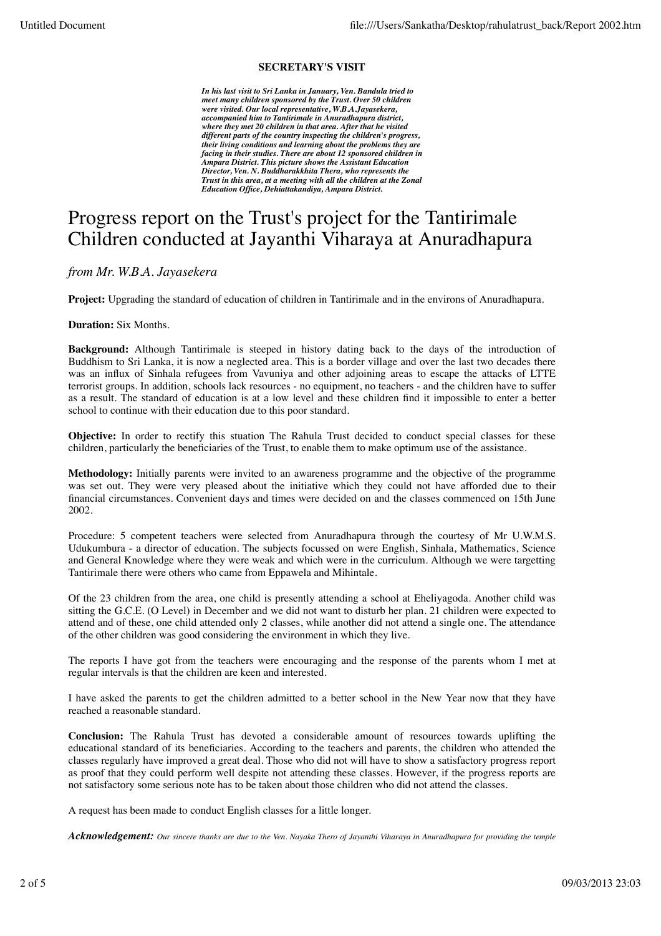#### **SECRETARY'S VISIT**

*In his last visit to Sri Lanka in January, Ven. Bandula tried to meet many children sponsored by the Trust. Over 50 children were visited. Our local representative, W.B.A.Jayasekera, accompanied him to Tantirimale in Anuradhapura district, where they met 20 children in that area. After that he visited different parts of the country inspecting the children's progress, their living conditions and learning about the problems they are facing in their studies. There are about 12 sponsored children in Ampara District. This picture shows the Assistant Education Director, Ven. N. Buddharakkhita Thera, who represents the Trust in this area, at a meeting with all the children at the Zonal Education Office, Dehiattakandiya, Ampara District.*

### Progress report on the Trust's project for the Tantirimale Children conducted at Jayanthi Viharaya at Anuradhapura

*from Mr. W.B.A. Jayasekera*

**Project:** Upgrading the standard of education of children in Tantirimale and in the environs of Anuradhapura.

**Duration:** Six Months.

**Background:** Although Tantirimale is steeped in history dating back to the days of the introduction of Buddhism to Sri Lanka, it is now a neglected area. This is a border village and over the last two decades there was an influx of Sinhala refugees from Vavuniya and other adjoining areas to escape the attacks of LTTE terrorist groups. In addition, schools lack resources - no equipment, no teachers - and the children have to suffer as a result. The standard of education is at a low level and these children find it impossible to enter a better school to continue with their education due to this poor standard.

**Objective:** In order to rectify this stuation The Rahula Trust decided to conduct special classes for these children, particularly the beneficiaries of the Trust, to enable them to make optimum use of the assistance.

**Methodology:** Initially parents were invited to an awareness programme and the objective of the programme was set out. They were very pleased about the initiative which they could not have afforded due to their financial circumstances. Convenient days and times were decided on and the classes commenced on 15th June 2002.

Procedure: 5 competent teachers were selected from Anuradhapura through the courtesy of Mr U.W.M.S. Udukumbura - a director of education. The subjects focussed on were English, Sinhala, Mathematics, Science and General Knowledge where they were weak and which were in the curriculum. Although we were targetting Tantirimale there were others who came from Eppawela and Mihintale.

Of the 23 children from the area, one child is presently attending a school at Eheliyagoda. Another child was sitting the G.C.E. (O Level) in December and we did not want to disturb her plan. 21 children were expected to attend and of these, one child attended only 2 classes, while another did not attend a single one. The attendance of the other children was good considering the environment in which they live.

The reports I have got from the teachers were encouraging and the response of the parents whom I met at regular intervals is that the children are keen and interested.

I have asked the parents to get the children admitted to a better school in the New Year now that they have reached a reasonable standard.

**Conclusion:** The Rahula Trust has devoted a considerable amount of resources towards uplifting the educational standard of its beneficiaries. According to the teachers and parents, the children who attended the classes regularly have improved a great deal. Those who did not will have to show a satisfactory progress report as proof that they could perform well despite not attending these classes. However, if the progress reports are not satisfactory some serious note has to be taken about those children who did not attend the classes.

A request has been made to conduct English classes for a little longer.

*Acknowledgement: Our sincere thanks are due to the Ven. Nayaka Thero of Jayanthi Viharaya in Anuradhapura for providing the temple*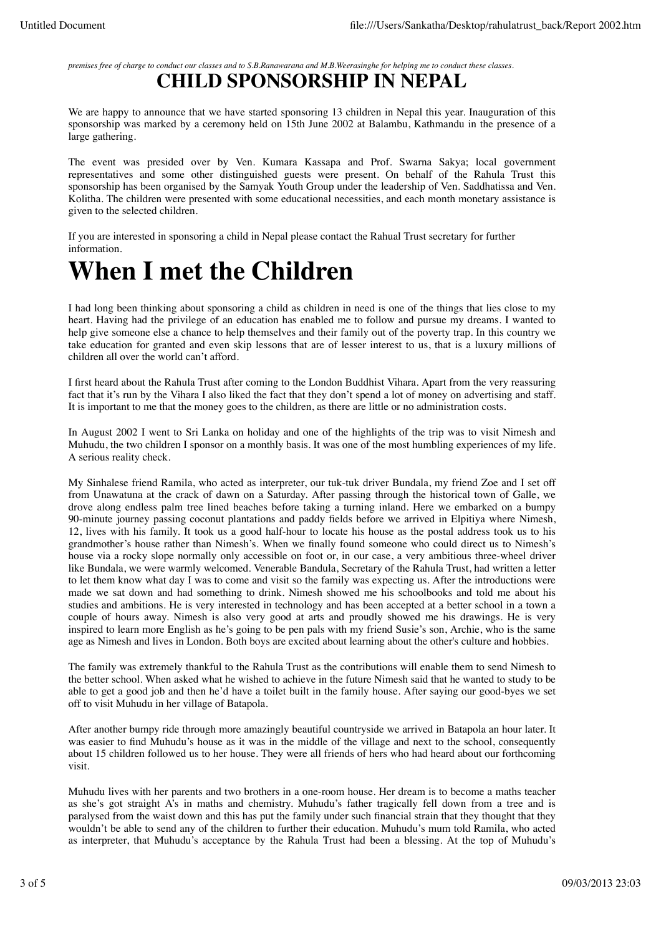*premises free of charge to conduct our classes and to S.B.Ranawarana and M.B.Weerasinghe for helping me to conduct these classes.* **CHILD SPONSORSHIP IN NEPAL**

We are happy to announce that we have started sponsoring 13 children in Nepal this year. Inauguration of this sponsorship was marked by a ceremony held on 15th June 2002 at Balambu, Kathmandu in the presence of a large gathering.

The event was presided over by Ven. Kumara Kassapa and Prof. Swarna Sakya; local government representatives and some other distinguished guests were present. On behalf of the Rahula Trust this sponsorship has been organised by the Samyak Youth Group under the leadership of Ven. Saddhatissa and Ven. Kolitha. The children were presented with some educational necessities, and each month monetary assistance is given to the selected children.

If you are interested in sponsoring a child in Nepal please contact the Rahual Trust secretary for further information.

## **When I met the Children**

I had long been thinking about sponsoring a child as children in need is one of the things that lies close to my heart. Having had the privilege of an education has enabled me to follow and pursue my dreams. I wanted to help give someone else a chance to help themselves and their family out of the poverty trap. In this country we take education for granted and even skip lessons that are of lesser interest to us, that is a luxury millions of children all over the world can't afford.

I first heard about the Rahula Trust after coming to the London Buddhist Vihara. Apart from the very reassuring fact that it's run by the Vihara I also liked the fact that they don't spend a lot of money on advertising and staff. It is important to me that the money goes to the children, as there are little or no administration costs.

In August 2002 I went to Sri Lanka on holiday and one of the highlights of the trip was to visit Nimesh and Muhudu, the two children I sponsor on a monthly basis. It was one of the most humbling experiences of my life. A serious reality check.

My Sinhalese friend Ramila, who acted as interpreter, our tuk-tuk driver Bundala, my friend Zoe and I set off from Unawatuna at the crack of dawn on a Saturday. After passing through the historical town of Galle, we drove along endless palm tree lined beaches before taking a turning inland. Here we embarked on a bumpy 90-minute journey passing coconut plantations and paddy fields before we arrived in Elpitiya where Nimesh, 12, lives with his family. It took us a good half-hour to locate his house as the postal address took us to his grandmother's house rather than Nimesh's. When we finally found someone who could direct us to Nimesh's house via a rocky slope normally only accessible on foot or, in our case, a very ambitious three-wheel driver like Bundala, we were warmly welcomed. Venerable Bandula, Secretary of the Rahula Trust, had written a letter to let them know what day I was to come and visit so the family was expecting us. After the introductions were made we sat down and had something to drink. Nimesh showed me his schoolbooks and told me about his studies and ambitions. He is very interested in technology and has been accepted at a better school in a town a couple of hours away. Nimesh is also very good at arts and proudly showed me his drawings. He is very inspired to learn more English as he's going to be pen pals with my friend Susie's son, Archie, who is the same age as Nimesh and lives in London. Both boys are excited about learning about the other's culture and hobbies.

The family was extremely thankful to the Rahula Trust as the contributions will enable them to send Nimesh to the better school. When asked what he wished to achieve in the future Nimesh said that he wanted to study to be able to get a good job and then he'd have a toilet built in the family house. After saying our good-byes we set off to visit Muhudu in her village of Batapola.

After another bumpy ride through more amazingly beautiful countryside we arrived in Batapola an hour later. It was easier to find Muhudu's house as it was in the middle of the village and next to the school, consequently about 15 children followed us to her house. They were all friends of hers who had heard about our forthcoming visit.

Muhudu lives with her parents and two brothers in a one-room house. Her dream is to become a maths teacher as she's got straight A's in maths and chemistry. Muhudu's father tragically fell down from a tree and is paralysed from the waist down and this has put the family under such financial strain that they thought that they wouldn't be able to send any of the children to further their education. Muhudu's mum told Ramila, who acted as interpreter, that Muhudu's acceptance by the Rahula Trust had been a blessing. At the top of Muhudu's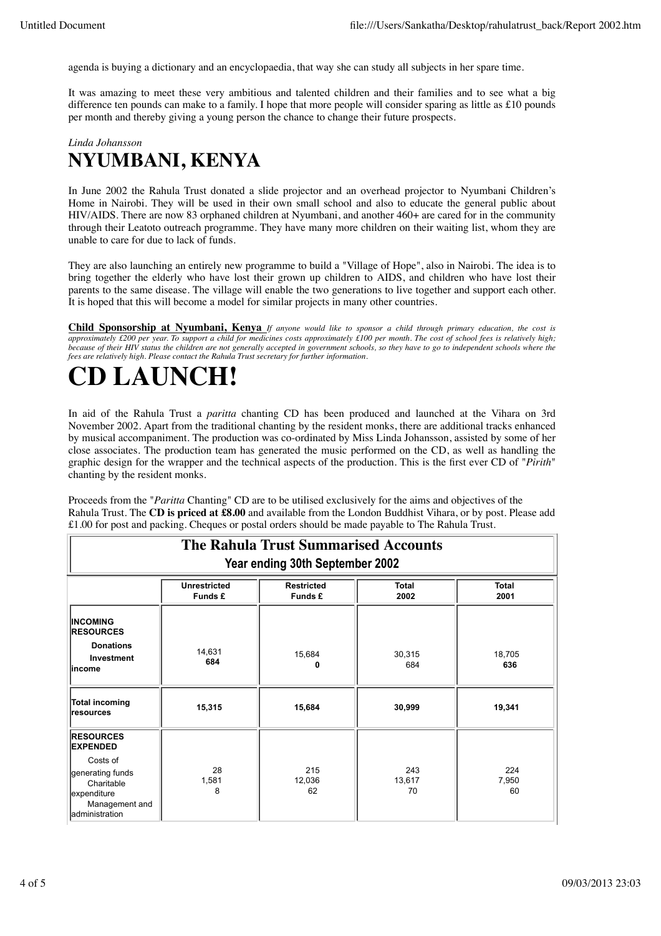agenda is buying a dictionary and an encyclopaedia, that way she can study all subjects in her spare time.

It was amazing to meet these very ambitious and talented children and their families and to see what a big difference ten pounds can make to a family. I hope that more people will consider sparing as little as £10 pounds per month and thereby giving a young person the chance to change their future prospects.

### *Linda Johansson* **NYUMBANI, KENYA**

In June 2002 the Rahula Trust donated a slide projector and an overhead projector to Nyumbani Children's Home in Nairobi. They will be used in their own small school and also to educate the general public about HIV/AIDS. There are now 83 orphaned children at Nyumbani, and another 460+ are cared for in the community through their Leatoto outreach programme. They have many more children on their waiting list, whom they are unable to care for due to lack of funds.

They are also launching an entirely new programme to build a "Village of Hope", also in Nairobi. The idea is to bring together the elderly who have lost their grown up children to AIDS, and children who have lost their parents to the same disease. The village will enable the two generations to live together and support each other. It is hoped that this will become a model for similar projects in many other countries.

**Child Sponsorship at Nyumbani, Kenya** *If anyone would like to sponsor a child through primary education, the cost is approximately £200 per year. To support a child for medicines costs approximately £100 per month. The cost of school fees is relatively high; because of their HIV status the children are not generally accepted in government schools, so they have to go to independent schools where the fees are relatively high. Please contact the Rahula Trust secretary for further information.*

# **CD LAUNCH!**

In aid of the Rahula Trust a *paritta* chanting CD has been produced and launched at the Vihara on 3rd November 2002. Apart from the traditional chanting by the resident monks, there are additional tracks enhanced by musical accompaniment. The production was co-ordinated by Miss Linda Johansson, assisted by some of her close associates. The production team has generated the music performed on the CD, as well as handling the graphic design for the wrapper and the technical aspects of the production. This is the first ever CD of "*Pirith*" chanting by the resident monks.

Proceeds from the "*Paritta* Chanting" CD are to be utilised exclusively for the aims and objectives of the Rahula Trust. The **CD is priced at £8.00** and available from the London Buddhist Vihara, or by post. Please add £1.00 for post and packing. Cheques or postal orders should be made payable to The Rahula Trust.

| <b>The Rahula Trust Summarised Accounts</b>                                                   |                                |                              |                      |                      |  |  |  |  |  |
|-----------------------------------------------------------------------------------------------|--------------------------------|------------------------------|----------------------|----------------------|--|--|--|--|--|
| Year ending 30th September 2002                                                               |                                |                              |                      |                      |  |  |  |  |  |
|                                                                                               | <b>Unrestricted</b><br>Funds £ | <b>Restricted</b><br>Funds £ | <b>Total</b><br>2002 | <b>Total</b><br>2001 |  |  |  |  |  |
| <b>INCOMING</b><br><b>RESOURCES</b><br><b>Donations</b><br>Investment<br>lincome              | 14,631<br>684                  | 15,684<br>0                  | 30,315<br>684        | 18,705<br>636        |  |  |  |  |  |
| Total incoming<br>resources                                                                   | 15,315                         | 15,684                       | 30,999               | 19,341               |  |  |  |  |  |
| <b>RESOURCES</b><br><b>EXPENDED</b>                                                           |                                |                              |                      |                      |  |  |  |  |  |
| Costs of<br>generating funds<br>Charitable<br>expenditure<br>Management and<br>administration | 28<br>1,581<br>8               | 215<br>12,036<br>62          | 243<br>13,617<br>70  | 224<br>7,950<br>60   |  |  |  |  |  |